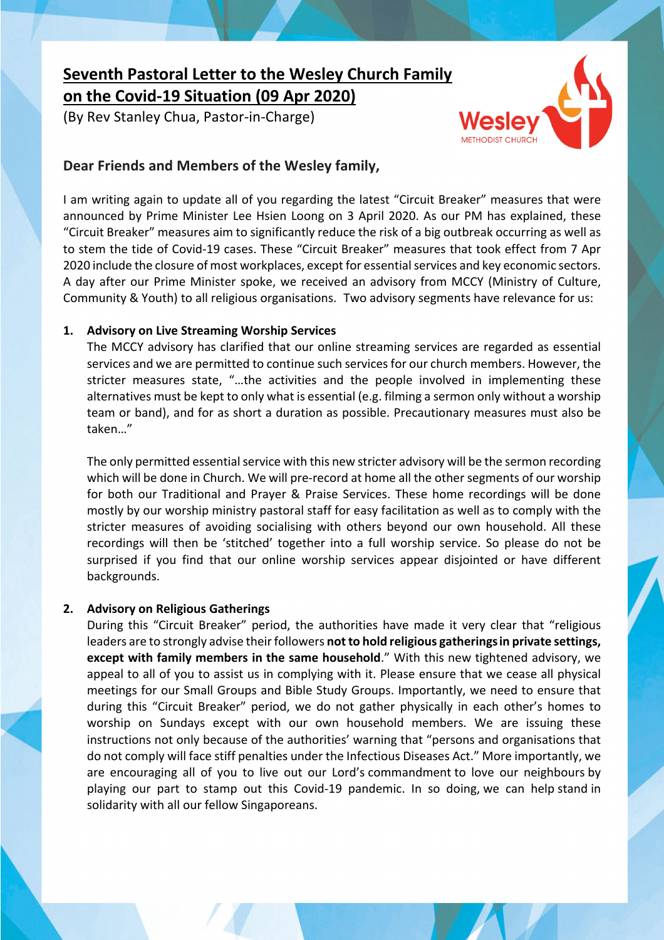# **Seventh Pastoral Letter to the Wesley Church Family on the Covid-19 Situation (09 Apr 2020)**

(By Rev Stanley Chua, Pastor-in-Charge)



# **Dear Friends and Members of the Wesley family,**

I am writing again to update all of you regarding the latest "Circuit Breaker" measures that were announced by Prime Minister Lee Hsien Loong on 3 April 2020. As our PM has explained, these "Circuit Breaker" measures aim to significantly reduce the risk of a big outbreak occurring as well as to stem the tide of Covid-19 cases. These "Circuit Breaker" measures that took effect from 7 Apr 2020 include the closure of most workplaces, except for essential services and key economic sectors. A day after our Prime Minister spoke, we received an advisory from MCCY (Ministry of Culture, Community & Youth) to all religious organisations. Two advisory segments have relevance for us:

## **1. Advisory on Live Streaming Worship Services**

The MCCY advisory has clarified that our online streaming services are regarded as essential services and we are permitted to continue such services for our church members. However, the stricter measures state, "…the activities and the people involved in implementing these alternatives must be kept to only what is essential (e.g. filming a sermon only without a worship team or band), and for as short a duration as possible. Precautionary measures must also be taken…"

The only permitted essential service with this new stricter advisory will be the sermon recording which will be done in Church. We will pre-record at home all the other segments of our worship for both our Traditional and Prayer & Praise Services. These home recordings will be done mostly by our worship ministry pastoral staff for easy facilitation as well as to comply with the stricter measures of avoiding socialising with others beyond our own household. All these recordings will then be 'stitched' together into a full worship service. So please do not be surprised if you find that our online worship services appear disjointed or have different backgrounds.

## **2. Advisory on Religious Gatherings**

During this "Circuit Breaker" period, the authorities have made it very clear that "religious leaders are to strongly advise their followers **not to hold religious gatheringsin private settings, except with family members in the same household**." With this new tightened advisory, we appeal to all of you to assist us in complying with it. Please ensure that we cease all physical meetings for our Small Groups and Bible Study Groups. Importantly, we need to ensure that during this "Circuit Breaker" period, we do not gather physically in each other's homes to worship on Sundays except with our own household members. We are issuing these instructions not only because of the authorities' warning that "persons and organisations that do not comply will face stiff penalties under the Infectious Diseases Act." More importantly, we are encouraging all of you to live out our Lord's commandment to love our neighbours by playing our part to stamp out this Covid-19 pandemic. In so doing, we can help stand in solidarity with all our fellow Singaporeans.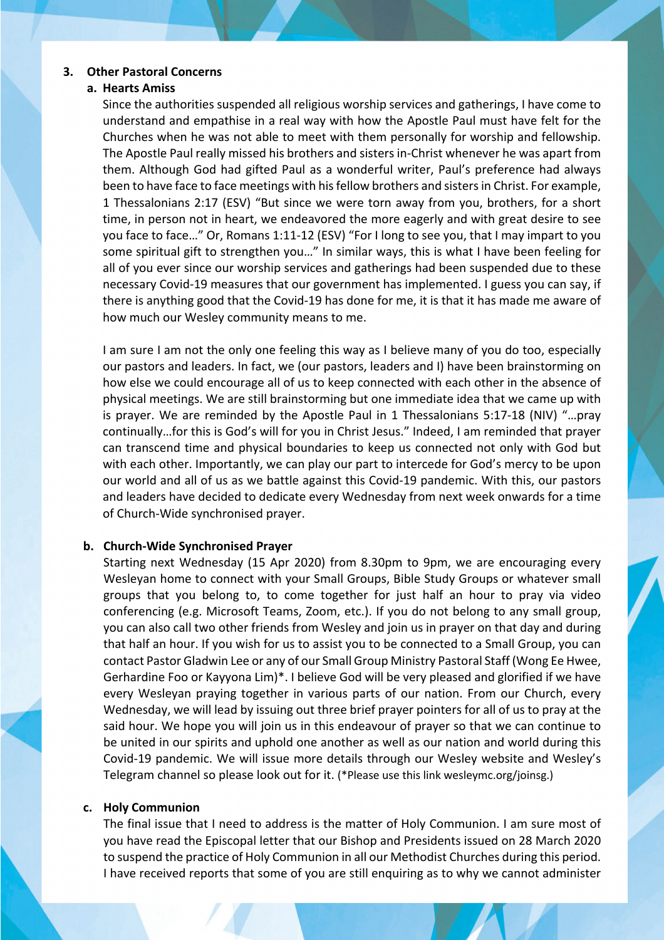#### **3. Other Pastoral Concerns**

#### **a. Hearts Amiss**

Since the authorities suspended all religious worship services and gatherings, I have come to understand and empathise in a real way with how the Apostle Paul must have felt for the Churches when he was not able to meet with them personally for worship and fellowship. The Apostle Paul really missed his brothers and sisters in-Christ whenever he was apart from them. Although God had gifted Paul as a wonderful writer, Paul's preference had always been to have face to face meetings with his fellow brothers and sisters in Christ. For example, 1 Thessalonians 2:17 (ESV) "But since we were torn away from you, brothers, for a short time, in person not in heart, we endeavored the more eagerly and with great desire to see you face to face…" Or, Romans 1:11-12 (ESV) "For I long to see you, that I may impart to you some spiritual gift to strengthen you…" In similar ways, this is what I have been feeling for all of you ever since our worship services and gatherings had been suspended due to these necessary Covid-19 measures that our government has implemented. I guess you can say, if there is anything good that the Covid-19 has done for me, it is that it has made me aware of how much our Wesley community means to me.

I am sure I am not the only one feeling this way as I believe many of you do too, especially our pastors and leaders. In fact, we (our pastors, leaders and I) have been brainstorming on how else we could encourage all of us to keep connected with each other in the absence of physical meetings. We are still brainstorming but one immediate idea that we came up with is prayer. We are reminded by the Apostle Paul in 1 Thessalonians 5:17-18 (NIV) "…pray continually…for this is God's will for you in Christ Jesus." Indeed, I am reminded that prayer can transcend time and physical boundaries to keep us connected not only with God but with each other. Importantly, we can play our part to intercede for God's mercy to be upon our world and all of us as we battle against this Covid-19 pandemic. With this, our pastors and leaders have decided to dedicate every Wednesday from next week onwards for a time of Church-Wide synchronised prayer.

#### **b. Church-Wide Synchronised Prayer**

Starting next Wednesday (15 Apr 2020) from 8.30pm to 9pm, we are encouraging every Wesleyan home to connect with your Small Groups, Bible Study Groups or whatever small groups that you belong to, to come together for just half an hour to pray via video conferencing (e.g. Microsoft Teams, Zoom, etc.). If you do not belong to any small group, you can also call two other friends from Wesley and join us in prayer on that day and during that half an hour. If you wish for us to assist you to be connected to a Small Group, you can contact Pastor Gladwin Lee or any of our Small Group Ministry Pastoral Staff (Wong Ee Hwee, Gerhardine Foo or Kayyona Lim)\*. I believe God will be very pleased and glorified if we have every Wesleyan praying together in various parts of our nation. From our Church, every Wednesday, we will lead by issuing out three brief prayer pointers for all of us to pray at the said hour. We hope you will join us in this endeavour of prayer so that we can continue to be united in our spirits and uphold one another as well as our nation and world during this Covid-19 pandemic. We will issue more details through our Wesley website and Wesley's Telegram channel so please look out for it. (\*Please use this link wesleymc.org/joinsg.)

#### **c. Holy Communion**

The final issue that I need to address is the matter of Holy Communion. I am sure most of you have read the Episcopal letter that our Bishop and Presidents issued on 28 March 2020 to suspend the practice of Holy Communion in all our Methodist Churches during this period. I have received reports that some of you are still enquiring as to why we cannot administer